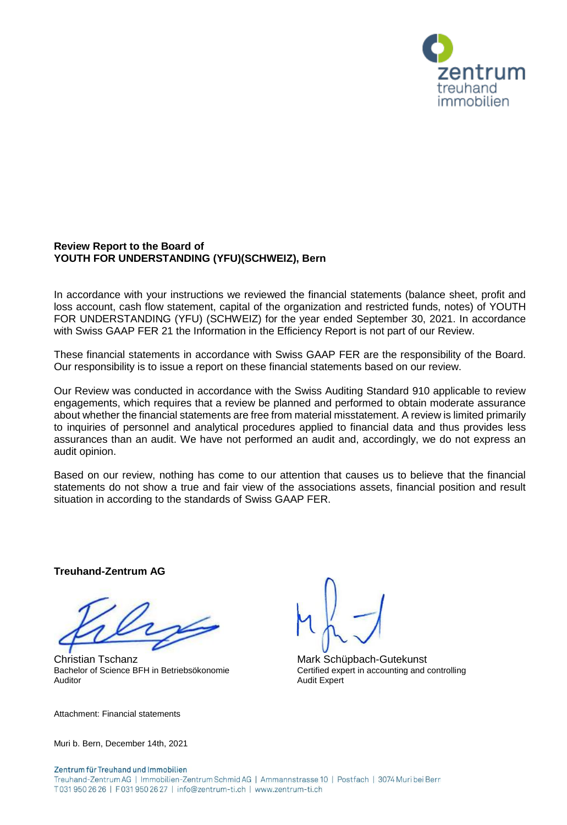

# **Review Report to the Board of YOUTH FOR UNDERSTANDING (YFU)(SCHWEIZ), Bern**

In accordance with your instructions we reviewed the financial statements (balance sheet, profit and loss account, cash flow statement, capital of the organization and restricted funds, notes) of YOUTH FOR UNDERSTANDING (YFU) (SCHWEIZ) for the year ended September 30, 2021. In accordance with Swiss GAAP FER 21 the Information in the Efficiency Report is not part of our Review.

These financial statements in accordance with Swiss GAAP FER are the responsibility of the Board. Our responsibility is to issue a report on these financial statements based on our review.

Our Review was conducted in accordance with the Swiss Auditing Standard 910 applicable to review engagements, which requires that a review be planned and performed to obtain moderate assurance about whether the financial statements are free from material misstatement. A review is limited primarily to inquiries of personnel and analytical procedures applied to financial data and thus provides less assurances than an audit. We have not performed an audit and, accordingly, we do not express an audit opinion.

Based on our review, nothing has come to our attention that causes us to believe that the financial statements do not show a true and fair view of the associations assets, financial position and result situation in according to the standards of Swiss GAAP FER.

**Treuhand-Zentrum AG**

Christian Tschanz Mark Schüpbach-Gutekunst Bachelor of Science BFH in Betriebsökonomie Certified expert in accounting and controlling<br>Auditor Audit Expert

Attachment: Financial statements

Audit Expert

Muri b. Bern, December 14th, 2021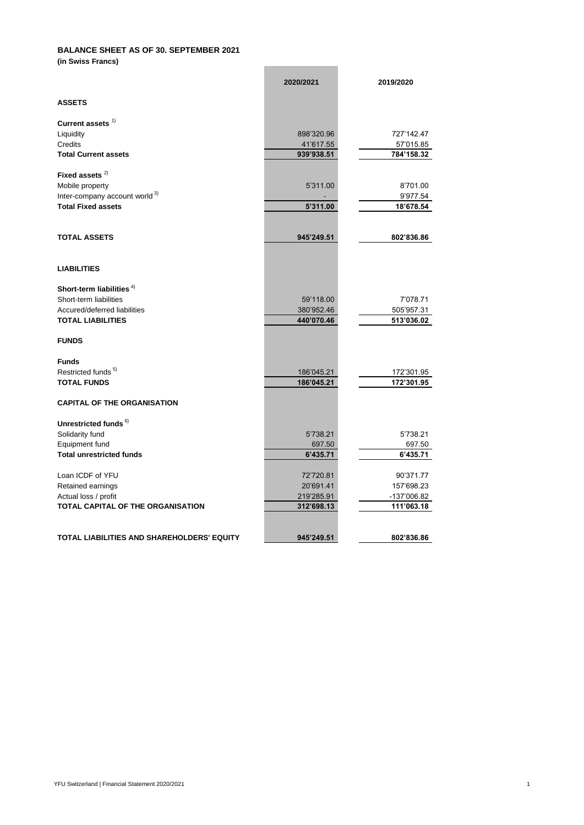# **BALANCE SHEET AS OF 30. SEPTEMBER 2021**

**(in Swiss Francs)**

|                                            | 2020/2021  | 2019/2020   |
|--------------------------------------------|------------|-------------|
| <b>ASSETS</b>                              |            |             |
| Current assets $1$                         |            |             |
| Liquidity                                  | 898'320.96 | 727'142.47  |
| <b>Credits</b>                             | 41'617.55  | 57'015.85   |
| <b>Total Current assets</b>                | 939'938.51 | 784'158.32  |
| Fixed assets $2)$                          |            |             |
| Mobile property                            | 5'311.00   | 8'701.00    |
| Inter-company account world <sup>3)</sup>  |            | 9'977.54    |
| <b>Total Fixed assets</b>                  | 5'311.00   | 18'678.54   |
|                                            |            |             |
| <b>TOTAL ASSETS</b>                        | 945'249.51 | 802'836.86  |
|                                            |            |             |
| <b>LIABILITIES</b>                         |            |             |
| Short-term liabilities $4)$                |            |             |
| Short-term liabilities                     | 59'118.00  | 7'078.71    |
| Accured/deferred liabilities               | 380'952.46 | 505'957.31  |
| <b>TOTAL LIABILITIES</b>                   | 440'070.46 | 513'036.02  |
| <b>FUNDS</b>                               |            |             |
| <b>Funds</b>                               |            |             |
| Restricted funds <sup>5)</sup>             | 186'045.21 | 172'301.95  |
| <b>TOTAL FUNDS</b>                         | 186'045.21 | 172'301.95  |
| <b>CAPITAL OF THE ORGANISATION</b>         |            |             |
| Unrestricted funds <sup>6)</sup>           |            |             |
| Solidarity fund                            | 5'738.21   | 5'738.21    |
| Equipment fund                             | 697.50     | 697.50      |
| <b>Total unrestricted funds</b>            | 6'435.71   | 6'435.71    |
| Loan ICDF of YFU                           | 72'720.81  | 90'371.77   |
| Retained earnings                          | 20'691.41  | 157'698.23  |
| Actual loss / profit                       | 219'285.91 | -137'006.82 |
| TOTAL CAPITAL OF THE ORGANISATION          | 312'698.13 | 111'063.18  |
|                                            |            |             |
| TOTAL LIABILITIES AND SHAREHOLDERS' EQUITY | 945'249.51 | 802'836.86  |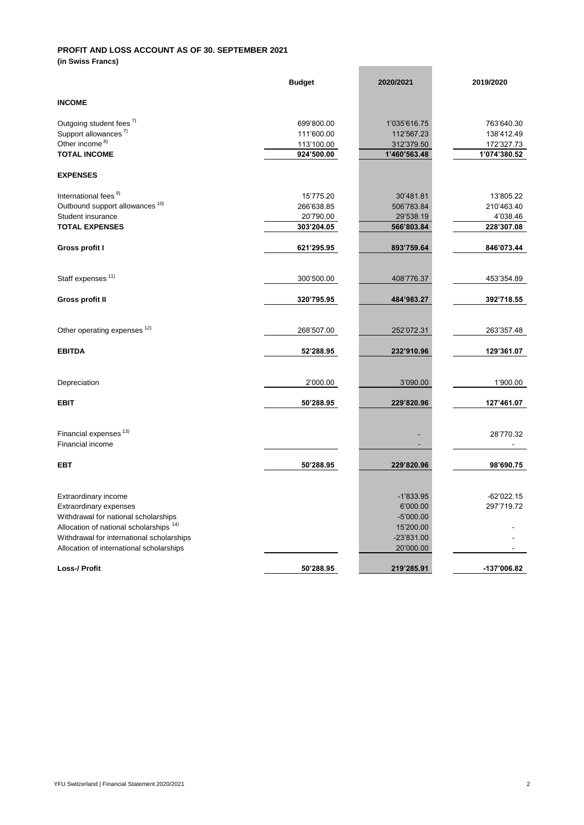# **PROFIT AND LOSS ACCOUNT AS OF 30. SEPTEMBER 2021**

**(in Swiss Francs)**

|                                            | <b>Budget</b> | 2020/2021    | 2019/2020    |
|--------------------------------------------|---------------|--------------|--------------|
| <b>INCOME</b>                              |               |              |              |
| Outgoing student fees <sup>7)</sup>        | 699'800.00    | 1'035'616.75 | 763'640.30   |
| Support allowances <sup>7)</sup>           | 111'600.00    | 112'567.23   | 138'412.49   |
| Other income <sup>8)</sup>                 | 113'100.00    | 312'379.50   | 172'327.73   |
| <b>TOTAL INCOME</b>                        | 924'500.00    | 1'460'563.48 | 1'074'380.52 |
| <b>EXPENSES</b>                            |               |              |              |
| International fees <sup>9)</sup>           | 15'775.20     |              | 13'805.22    |
|                                            |               | 30'481.81    |              |
| Outbound support allowances <sup>10)</sup> | 266'638.85    | 506'783.84   | 210'463.40   |
| Student insurance                          | 20'790.00     | 29'538.19    | 4'038.46     |
| <b>TOTAL EXPENSES</b>                      | 303'204.05    | 566'803.84   | 228'307.08   |
| Gross profit I                             | 621'295.95    | 893'759.64   | 846'073.44   |
|                                            |               |              |              |
| Staff expenses <sup>11)</sup>              | 300'500.00    | 408'776.37   | 453'354.89   |
| <b>Gross profit II</b>                     | 320'795.95    | 484'983.27   | 392'718.55   |
| Other operating expenses <sup>12)</sup>    | 268'507.00    | 252'072.31   | 263'357.48   |
|                                            |               |              |              |
| <b>EBITDA</b>                              | 52'288.95     | 232'910.96   | 129'361.07   |
| Depreciation                               | 2'000.00      | 3'090.00     | 1'900.00     |
|                                            |               |              |              |
| <b>EBIT</b>                                | 50'288.95     | 229'820.96   | 127'461.07   |
| Financial expenses <sup>13)</sup>          |               |              | 28'770.32    |
| Financial income                           |               |              |              |
| <b>EBT</b>                                 | 50'288.95     | 229'820.96   | 98'690.75    |
|                                            |               |              |              |
| Extraordinary income                       |               | $-1'833.95$  | $-62'022.15$ |
| Extraordinary expenses                     |               | 6'000.00     | 297'719.72   |
| Withdrawal for national scholarships       |               | $-5'000.00$  |              |
| Allocation of national scholarships 14)    |               | 15'200.00    |              |
| Withdrawal for international scholarships  |               | $-23'831.00$ |              |
| Allocation of international scholarships   |               | 20'000.00    |              |
| <b>Loss-/ Profit</b>                       | 50'288.95     | 219'285.91   | -137'006.82  |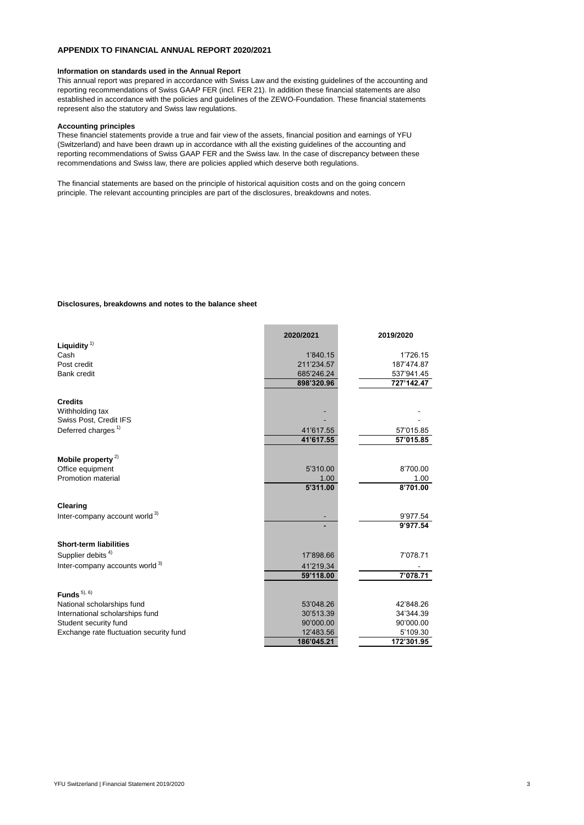#### **APPENDIX TO FINANCIAL ANNUAL REPORT 2020/2021**

#### **Information on standards used in the Annual Report**

This annual report was prepared in accordance with Swiss Law and the existing guidelines of the accounting and reporting recommendations of Swiss GAAP FER (incl. FER 21). In addition these financial statements are also established in accordance with the policies and guidelines of the ZEWO-Foundation. These financial statements represent also the statutory and Swiss law regulations.

#### **Accounting principles**

These financiel statements provide a true and fair view of the assets, financial position and earnings of YFU (Switzerland) and have been drawn up in accordance with all the existing guidelines of the accounting and reporting recommendations of Swiss GAAP FER and the Swiss law. In the case of discrepancy between these recommendations and Swiss law, there are policies applied which deserve both regulations.

The financial statements are based on the principle of historical aquisition costs and on the going concern principle. The relevant accounting principles are part of the disclosures, breakdowns and notes.

#### **Disclosures, breakdowns and notes to the balance sheet**

|                                                   | 2020/2021  | 2019/2020  |
|---------------------------------------------------|------------|------------|
| Liquidity $1$                                     |            |            |
| Cash                                              | 1'840.15   | 1'726.15   |
| Post credit                                       | 211'234.57 | 187'474.87 |
| <b>Bank credit</b>                                | 685'246.24 | 537'941.45 |
|                                                   | 898'320.96 | 727'142.47 |
| <b>Credits</b>                                    |            |            |
| Withholding tax                                   |            |            |
| Swiss Post, Credit IFS                            |            |            |
| Deferred charges <sup>1)</sup>                    | 41'617.55  | 57'015.85  |
|                                                   | 41'617.55  | 57'015.85  |
|                                                   |            |            |
| Mobile property <sup>2)</sup><br>Office equipment | 5'310.00   | 8'700.00   |
| <b>Promotion material</b>                         | 1.00       | 1.00       |
|                                                   | 5'311.00   | 8'701.00   |
|                                                   |            |            |
| <b>Clearing</b>                                   |            |            |
| Inter-company account world <sup>3)</sup>         |            | 9'977.54   |
|                                                   |            | 9'977.54   |
| <b>Short-term liabilities</b>                     |            |            |
| Supplier debits <sup>4)</sup>                     | 17'898.66  | 7'078.71   |
| Inter-company accounts world <sup>3)</sup>        | 41'219.34  |            |
|                                                   | 59'118.00  | 7'078.71   |
| Funds $5,6$                                       |            |            |
| National scholarships fund                        | 53'048.26  | 42'848.26  |
| International scholarships fund                   | 30'513.39  | 34'344.39  |
| Student security fund                             | 90'000.00  | 90'000.00  |
| Exchange rate fluctuation security fund           | 12'483.56  | 5'109.30   |
|                                                   | 186'045.21 | 172'301.95 |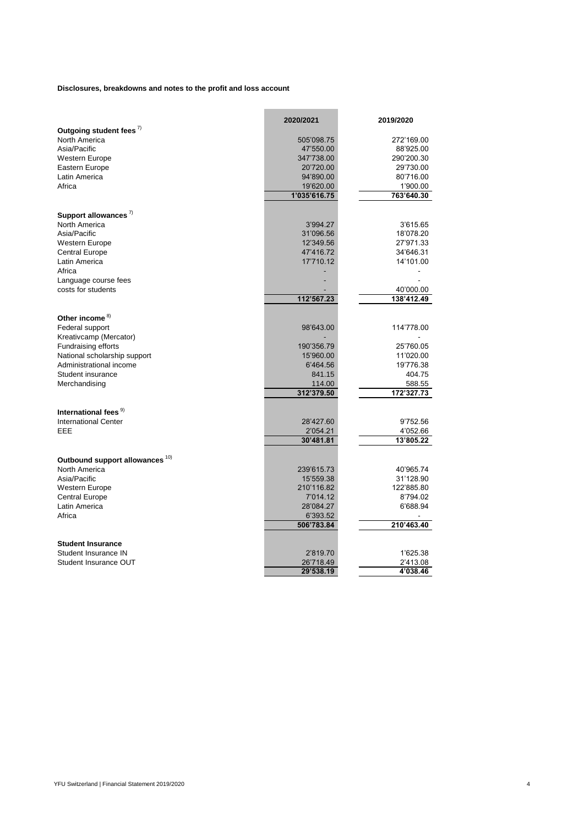**Disclosures, breakdowns and notes to the profit and loss account**

|                                            | 2020/2021    | 2019/2020  |
|--------------------------------------------|--------------|------------|
| Outgoing student fees <sup>7)</sup>        |              |            |
| North America                              | 505'098.75   | 272'169.00 |
| Asia/Pacific                               | 47'550.00    | 88'925.00  |
| <b>Western Europe</b>                      | 347'738.00   | 290'200.30 |
| Eastern Europe                             | 20'720.00    | 29'730.00  |
| Latin America                              | 94'890.00    | 80'716.00  |
| Africa                                     | 19'620.00    | 1'900.00   |
|                                            | 1'035'616.75 | 763'640.30 |
| Support allowances $\frac{7}{2}$           |              |            |
| North America                              | 3'994.27     | 3'615.65   |
| Asia/Pacific                               | 31'096.56    | 18'078.20  |
| Western Europe                             | 12'349.56    | 27'971.33  |
| <b>Central Europe</b>                      | 47'416.72    | 34'646.31  |
| Latin America                              | 17'710.12    | 14'101.00  |
| Africa                                     |              |            |
| Language course fees                       |              |            |
| costs for students                         |              | 40'000.00  |
|                                            | 112'567.23   | 138'412.49 |
|                                            |              |            |
| Other income <sup>8)</sup>                 |              |            |
| Federal support                            | 98'643.00    | 114'778.00 |
| Kreativcamp (Mercator)                     |              |            |
| Fundraising efforts                        | 190'356.79   | 25'760.05  |
| National scholarship support               | 15'960.00    | 11'020.00  |
| Administrational income                    | 6'464.56     | 19'776.38  |
| Student insurance                          | 841.15       | 404.75     |
| Merchandising                              | 114.00       | 588.55     |
|                                            | 312'379.50   | 172'327.73 |
| International fees <sup>9)</sup>           |              |            |
| <b>International Center</b>                | 28'427.60    | 9'752.56   |
| EEE                                        | 2'054.21     | 4'052.66   |
|                                            | 30'481.81    | 13'805.22  |
|                                            |              |            |
| Outbound support allowances <sup>10)</sup> |              |            |
| North America                              | 239'615.73   | 40'965.74  |
| Asia/Pacific                               | 15'559.38    | 31'128.90  |
| Western Europe                             | 210'116.82   | 122'885.80 |
| <b>Central Europe</b>                      | 7'014.12     | 8'794.02   |
| Latin America                              | 28'084.27    | 6'688.94   |
| Africa                                     | 6'393.52     |            |
|                                            | 506'783.84   | 210'463.40 |
| <b>Student Insurance</b>                   |              |            |
| Student Insurance IN                       | 2'819.70     | 1'625.38   |
| Student Insurance OUT                      | 26'718.49    | 2'413.08   |
|                                            | 29'538.19    | 4'038.46   |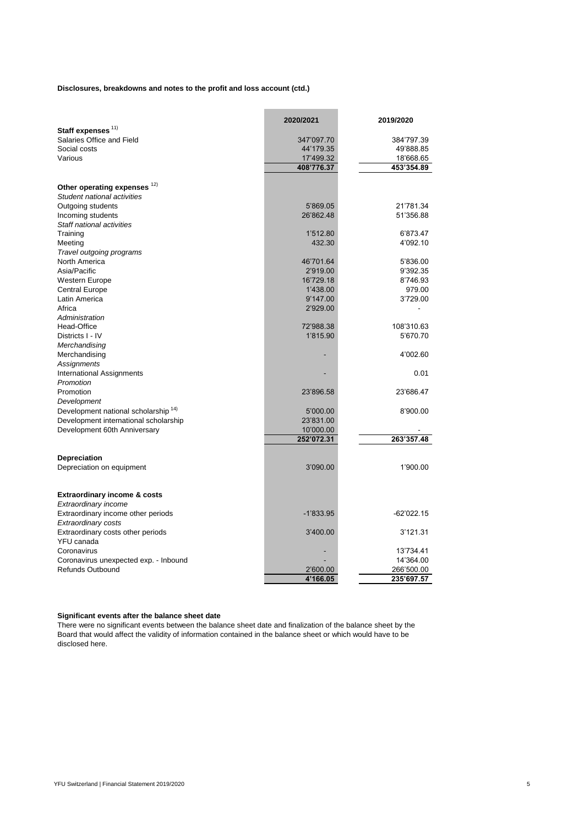**Disclosures, breakdowns and notes to the profit and loss account (ctd.)**

|                                                 | 2020/2021             | 2019/2020    |
|-------------------------------------------------|-----------------------|--------------|
| Staff expenses <sup>11)</sup>                   |                       |              |
| Salaries Office and Field                       | 347'097.70            | 384'797.39   |
| Social costs                                    | 44'179.35             | 49'888.85    |
| Various                                         | 17'499.32             | 18'668.65    |
|                                                 | 408'776.37            | 453'354.89   |
| Other operating expenses 12)                    |                       |              |
| Student national activities                     |                       |              |
|                                                 |                       |              |
| Outgoing students                               | 5'869.05<br>26'862.48 | 21'781.34    |
| Incoming students                               |                       | 51'356.88    |
| Staff national activities                       |                       |              |
| Training                                        | 1'512.80              | 6'873.47     |
| Meeting                                         | 432.30                | 4'092.10     |
| Travel outgoing programs                        |                       |              |
| <b>North America</b>                            | 46'701.64             | 5'836.00     |
| Asia/Pacific                                    | 2'919.00              | 9'392.35     |
| Western Europe                                  | 16'729.18             | 8'746.93     |
| <b>Central Europe</b>                           | 1'438.00              | 979.00       |
| Latin America                                   | 9'147.00              | 3'729.00     |
| Africa                                          | 2'929.00              |              |
| Administration                                  |                       |              |
| Head-Office                                     | 72'988.38             | 108'310.63   |
| Districts I - IV                                | 1'815.90              | 5'670.70     |
| Merchandising                                   |                       |              |
| Merchandising                                   |                       | 4'002.60     |
| <b>Assignments</b>                              |                       |              |
| <b>International Assignments</b>                |                       | 0.01         |
| Promotion                                       |                       |              |
| Promotion                                       | 23'896.58             | 23'686.47    |
| Development                                     |                       |              |
| Development national scholarship <sup>14)</sup> | 5'000.00              | 8'900.00     |
| Development international scholarship           | 23'831.00             |              |
|                                                 | 10'000.00             |              |
| Development 60th Anniversary                    | 252'072.31            |              |
|                                                 |                       | 263'357.48   |
| <b>Depreciation</b>                             |                       |              |
| Depreciation on equipment                       | 3'090.00              | 1'900.00     |
|                                                 |                       |              |
|                                                 |                       |              |
| <b>Extraordinary income &amp; costs</b>         |                       |              |
| Extraordinary income                            |                       |              |
| Extraordinary income other periods              | $-1'833.95$           | $-62'022.15$ |
| <b>Extraordinary costs</b>                      |                       |              |
| Extraordinary costs other periods               | 3'400.00              | 3'121.31     |
| YFU canada                                      |                       |              |
| Coronavirus                                     |                       | 13'734.41    |
| Coronavirus unexpected exp. - Inbound           |                       | 14'364.00    |
| <b>Refunds Outbound</b>                         | 2'600.00              | 266'500.00   |
|                                                 | 4'166.05              | 235'697.57   |

# **Significant events after the balance sheet date**

There were no significant events between the balance sheet date and finalization of the balance sheet by the Board that would affect the validity of information contained in the balance sheet or which would have to be disclosed here.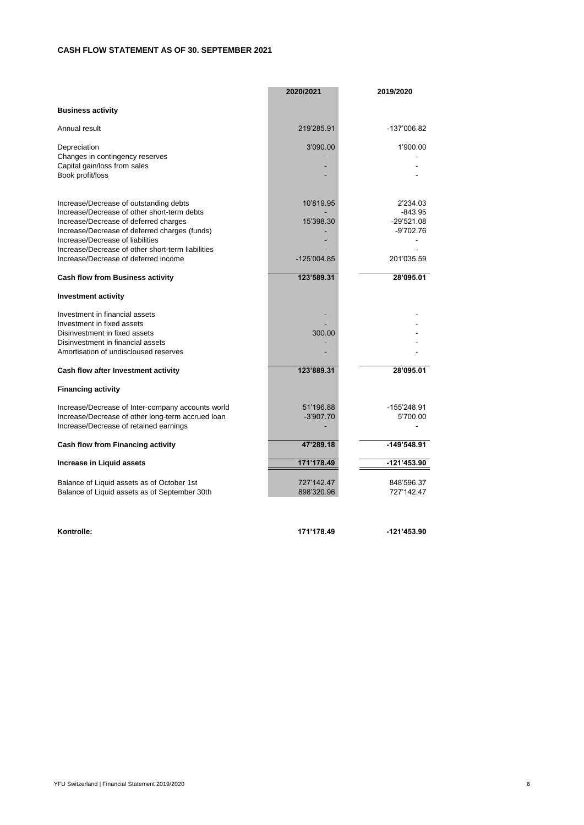# **CASH FLOW STATEMENT AS OF 30. SEPTEMBER 2021**

|                                                                                                                                                                                                                                                                                                                  | 2020/2021                             | 2019/2020                                                          |
|------------------------------------------------------------------------------------------------------------------------------------------------------------------------------------------------------------------------------------------------------------------------------------------------------------------|---------------------------------------|--------------------------------------------------------------------|
| <b>Business activity</b>                                                                                                                                                                                                                                                                                         |                                       |                                                                    |
| Annual result                                                                                                                                                                                                                                                                                                    | 219'285.91                            | -137'006.82                                                        |
| Depreciation<br>Changes in contingency reserves<br>Capital gain/loss from sales<br>Book profit/loss                                                                                                                                                                                                              | 3'090.00                              | 1'900.00                                                           |
| Increase/Decrease of outstanding debts<br>Increase/Decrease of other short-term debts<br>Increase/Decrease of deferred charges<br>Increase/Decrease of deferred charges (funds)<br>Increase/Decrease of liabilities<br>Increase/Decrease of other short-term liabilities<br>Increase/Decrease of deferred income | 10'819.95<br>15'398.30<br>-125'004.85 | 2'234.03<br>$-843.95$<br>$-29'521.08$<br>$-9'702.76$<br>201'035.59 |
| <b>Cash flow from Business activity</b>                                                                                                                                                                                                                                                                          | 123'589.31                            | 28'095.01                                                          |
| <b>Investment activity</b>                                                                                                                                                                                                                                                                                       |                                       |                                                                    |
| Investment in financial assets<br>Investment in fixed assets<br>Disinvestment in fixed assets<br>Disinvestment in financial assets<br>Amortisation of undiscloused reserves                                                                                                                                      | 300.00                                |                                                                    |
| Cash flow after Investment activity                                                                                                                                                                                                                                                                              | 123'889.31                            | 28'095.01                                                          |
| <b>Financing activity</b>                                                                                                                                                                                                                                                                                        |                                       |                                                                    |
| Increase/Decrease of Inter-company accounts world<br>Increase/Decrease of other long-term accrued loan<br>Increase/Decrease of retained earnings                                                                                                                                                                 | 51'196.88<br>$-3'907.70$              | -155'248.91<br>5'700.00                                            |
| <b>Cash flow from Financing activity</b>                                                                                                                                                                                                                                                                         | 47'289.18                             | $-149'548.91$                                                      |
| <b>Increase in Liquid assets</b>                                                                                                                                                                                                                                                                                 | 171'178.49                            | $-121'453.90$                                                      |
| Balance of Liquid assets as of October 1st<br>Balance of Liquid assets as of September 30th                                                                                                                                                                                                                      | 727'142.47<br>898'320.96              | 848'596.37<br>727'142.47                                           |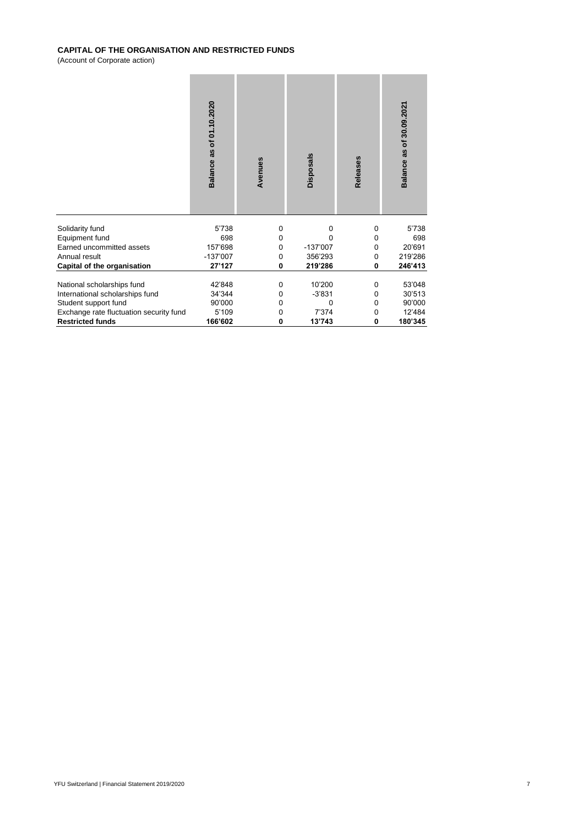# **CAPITAL OF THE ORGANISATION AND RESTRICTED FUNDS**

(Account of Corporate action)

|                                         | Balance as of 01.10.2020 | Avenues     | <b>Disposals</b> | Releases | Balance as of 30.09.2021 |
|-----------------------------------------|--------------------------|-------------|------------------|----------|--------------------------|
| Solidarity fund                         | 5'738                    | $\mathbf 0$ | 0                | 0        | 5'738                    |
| Equipment fund                          | 698                      | 0           | 0                | 0        | 698                      |
| Earned uncommitted assets               | 157'698                  | 0           | $-137'007$       | 0        | 20'691                   |
| Annual result                           | $-137'007$               | 0           | 356'293          | 0        | 219'286                  |
| <b>Capital of the organisation</b>      | 27'127                   | 0           | 219'286          | $\bf{0}$ | 246'413                  |
|                                         |                          |             |                  |          |                          |
| National scholarships fund              | 42'848                   | 0           | 10'200           | 0        | 53'048                   |
| International scholarships fund         | 34'344                   | 0           | $-3'831$         | 0        | 30'513                   |
| Student support fund                    | 90'000                   | 0           | 0                | 0        | 90'000                   |
| Exchange rate fluctuation security fund | 5'109                    | 0           | 7'374            | 0        | 12'484                   |
| <b>Restricted funds</b>                 | 166'602                  | 0           | 13'743           | 0        | 180'345                  |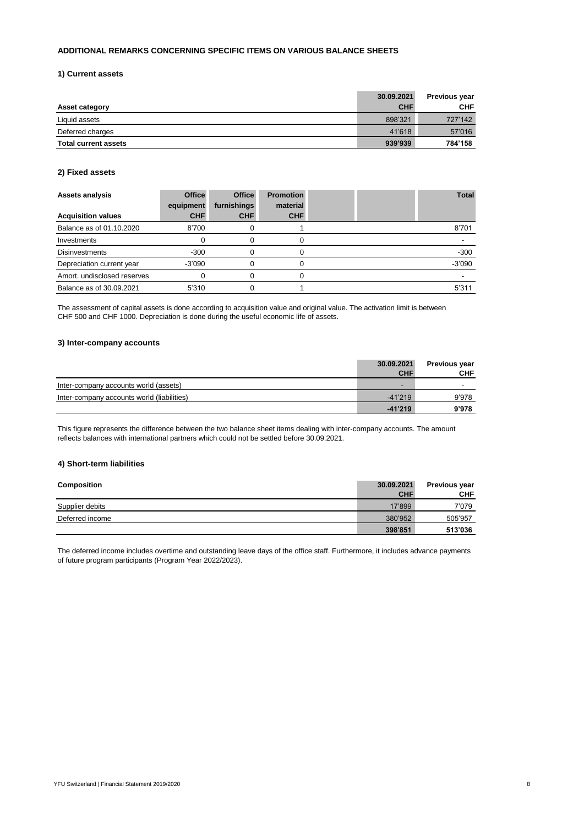# **ADDITIONAL REMARKS CONCERNING SPECIFIC ITEMS ON VARIOUS BALANCE SHEETS**

#### **1) Current assets**

|                             | 30.09.2021 | <b>Previous year</b> |
|-----------------------------|------------|----------------------|
| <b>Asset category</b>       | <b>CHF</b> | <b>CHF</b>           |
| Liquid assets               | 898'321    | 727'142              |
| Deferred charges            | 41'618     | 57'016               |
| <b>Total current assets</b> | 939'939    | 784'158              |

# **2) Fixed assets**

| <b>Assets analysis</b>      | <b>Office</b><br>equipment | <b>Office</b><br>furnishings | <b>Promotion</b><br>material |  | <b>Total</b> |
|-----------------------------|----------------------------|------------------------------|------------------------------|--|--------------|
| <b>Acquisition values</b>   | <b>CHF</b>                 | <b>CHF</b>                   | <b>CHF</b>                   |  |              |
| Balance as of 01.10.2020    | 8'700                      |                              |                              |  | 8'701        |
| Investments                 |                            |                              |                              |  |              |
| <b>Disinvestments</b>       | $-300$                     |                              |                              |  | $-300$       |
| Depreciation current year   | $-3'090$                   |                              |                              |  | $-3'090$     |
| Amort. undisclosed reserves |                            |                              |                              |  |              |
| Balance as of 30.09.2021    | 5'310                      |                              |                              |  | 5'311        |

# **3) Inter-company accounts**

|                                            | 30.09.2021<br><b>CHF</b> | <b>Previous year</b><br><b>CHF</b> |
|--------------------------------------------|--------------------------|------------------------------------|
| Inter-company accounts world (assets)      | -                        | -                                  |
| Inter-company accounts world (liabilities) | $-41'219$                | 9'978                              |
|                                            | $-41'219$                | 9'978                              |

# **4) Short-term liabilities**

| <b>Composition</b> | 30.09.2021<br><b>CHF</b> | <b>Previous year</b><br><b>CHF</b> |
|--------------------|--------------------------|------------------------------------|
| Supplier debits    | 17'899                   | 7'079                              |
| Deferred income    | 380'952                  | 505'957                            |
|                    | 398'851                  | 513'036                            |

The assessment of capital assets is done according to acquisition value and original value. The activation limit is between CHF 500 and CHF 1000. Depreciation is done during the useful economic life of assets.

This figure represents the difference between the two balance sheet items dealing with inter-company accounts. The amount reflects balances with international partners which could not be settled before 30.09.2021.

The deferred income includes overtime and outstanding leave days of the office staff. Furthermore, it includes advance payments of future program participants (Program Year 2022/2023).

YFU Switzerland | Financial Statement 2019/2020 8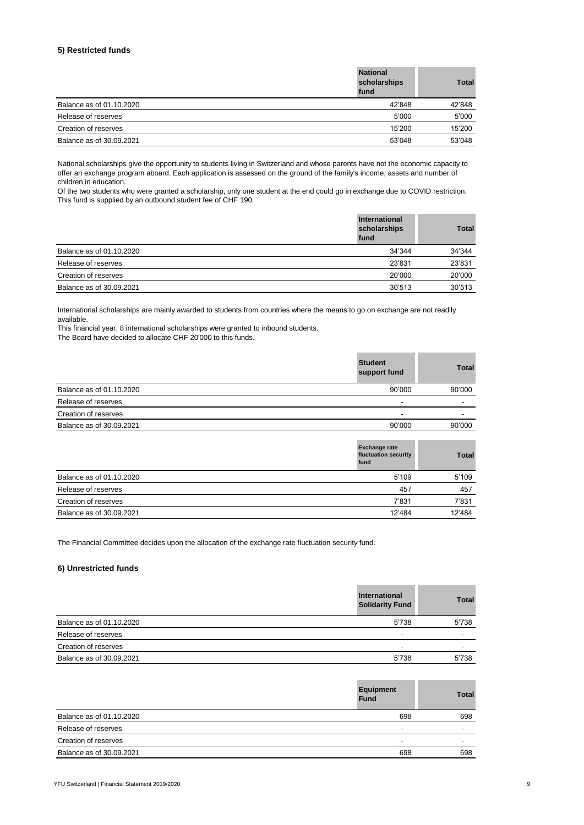# **5) Restricted funds**

|                          | <b>National</b><br>scholarships<br>fund | <b>Total</b> |
|--------------------------|-----------------------------------------|--------------|
| Balance as of 01.10.2020 | 42'848                                  | 42'848       |
| Release of reserves      | 5'000                                   | 5'000        |
| Creation of reserves     | 15'200                                  | 15'200       |
| Balance as of 30.09.2021 | 53'048                                  | 53'048       |

# **6) Unrestricted funds**

| $\overline{\phantom{a}}$<br>30.09.2021<br>Balance as of | 5'738 | E'72C<br>50 ، |
|---------------------------------------------------------|-------|---------------|
|---------------------------------------------------------|-------|---------------|

|                          | International<br>scholarships<br>fund | <b>Total</b> |
|--------------------------|---------------------------------------|--------------|
| Balance as of 01.10.2020 | 34'344                                | 34'344       |
| Release of reserves      | 23'831                                | 23'831       |
| Creation of reserves     | 20'000                                | 20'000       |
| Balance as of 30.09.2021 | 30'513                                | 30'513       |

|                          | <b>Student</b><br>support fund                                                                                                                                                                                                     | <b>Total</b> |
|--------------------------|------------------------------------------------------------------------------------------------------------------------------------------------------------------------------------------------------------------------------------|--------------|
| Balance as of 01.10.2020 | 90'000                                                                                                                                                                                                                             | 90'000       |
| Release of reserves      |                                                                                                                                                                                                                                    |              |
| Creation of reserves     |                                                                                                                                                                                                                                    |              |
| Balance as of 30.09.2021 | 90'000                                                                                                                                                                                                                             | 90'000       |
|                          | <b>Providence</b> and the state of the state of the state of the state of the state of the state of the state of the state of the state of the state of the state of the state of the state of the state of the state of the state |              |

|                          | <b>Exchange rate</b><br>fluctuation security<br>fund | <b>Total</b> |
|--------------------------|------------------------------------------------------|--------------|
| Balance as of 01.10.2020 | 5'109                                                | 5'109        |
| Release of reserves      | 457                                                  | 457          |
| Creation of reserves     | 7'831                                                | 7'831        |
| Balance as of 30.09.2021 | 12'484                                               | 12'484       |

National scholarships give the opportunity to students living in Switzerland and whose parents have not the economic capacity to offer an exchange program aboard. Each application is assessed on the ground of the family's income, assets and number of children in education.

|                          | <b>Equipment</b><br><b>Fund</b> | <b>Total</b> |
|--------------------------|---------------------------------|--------------|
| Balance as of 01.10.2020 | 698                             | 698          |
| Release of reserves      | -                               | -            |
| Creation of reserves     | $\overline{\phantom{0}}$        | -            |
| Balance as of 30.09.2021 | 698                             | 698          |

YFU Switzerland | Financial Statement 2019/2020 9

|                          | <b>International</b><br><b>Solidarity Fund</b> | <b>Total</b>             |
|--------------------------|------------------------------------------------|--------------------------|
| Balance as of 01.10.2020 | 5'738                                          | 5'738                    |
| Release of reserves      | $\overline{\phantom{a}}$                       | $\overline{\phantom{a}}$ |
| Creation of reserves     | -                                              | -                        |

Of the two students who were granted a scholarship, only one student at the end could go in exchange due to COVID restriction. This fund is supplied by an outbound student fee of CHF 190.

International scholarships are mainly awarded to students from countries where the means to go on exchange are not readily available.

This financial year, 8 international scholarships were granted to inbound students.

The Board have decided to allocate CHF 20'000 to this funds.

The Financial Committee decides upon the allocation of the exchange rate fluctuation security fund.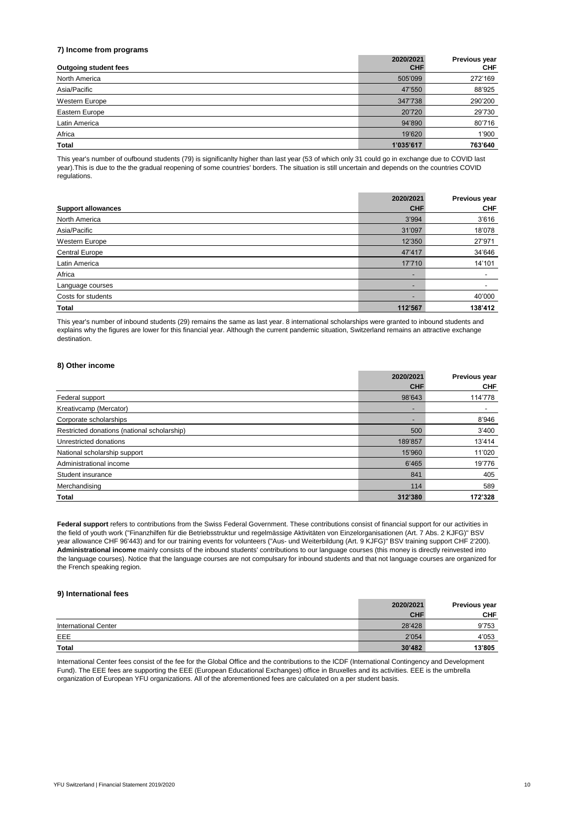# **7) Income from programs**

|                              | 2020/2021  | <b>Previous year</b> |
|------------------------------|------------|----------------------|
| <b>Outgoing student fees</b> | <b>CHF</b> | <b>CHF</b>           |
| North America                | 505'099    | 272'169              |
| Asia/Pacific                 | 47'550     | 88'925               |
| Western Europe               | 347'738    | 290'200              |
| Eastern Europe               | 20'720     | 29'730               |
| Latin America                | 94'890     | 80'716               |
| Africa                       | 19'620     | 1'900                |
| <b>Total</b>                 | 1'035'617  | 763'640              |

|                           | 2020/2021                | <b>Previous year</b> |
|---------------------------|--------------------------|----------------------|
| <b>Support allowances</b> | <b>CHF</b>               | <b>CHF</b>           |
| North America             | 3'994                    | 3'616                |
| Asia/Pacific              | 31'097                   | 18'078               |
| Western Europe            | 12'350                   | 27'971               |
| <b>Central Europe</b>     | 47'417                   | 34'646               |
| Latin America             | 17'710                   | 14'101               |
| Africa                    | $\overline{\phantom{a}}$ |                      |
| Language courses          |                          |                      |
| Costs for students        | $\overline{\phantom{0}}$ | 40'000               |
| <b>Total</b>              | 112'567                  | 138'412              |

#### **8) Other income**

|                                             | 2020/2021                | Previous year |
|---------------------------------------------|--------------------------|---------------|
|                                             | <b>CHF</b>               | <b>CHF</b>    |
| Federal support                             | 98'643                   | 114'778       |
| Kreativcamp (Mercator)                      | $\overline{\phantom{a}}$ |               |
| Corporate scholarships                      | $\overline{\phantom{a}}$ | 8'946         |
| Restricted donations (national scholarship) | 500                      | 3'400         |
| Unrestricted donations                      | 189'857                  | 13'414        |
| National scholarship support                | 15'960                   | 11'020        |
| Administrational income                     | 6'465                    | 19'776        |
| Student insurance                           | 841                      | 405           |
| Merchandising                               | 114                      | 589           |
| <b>Total</b>                                | 312'380                  | 172'328       |

| <b>International Center</b> | 28'428 | 9'753  |
|-----------------------------|--------|--------|
| EEE                         | 2'054  | 4'053  |
| <b>Total</b>                | 30'482 | 13'805 |

Federal support refers to contributions from the Swiss Federal Government. These contributions consist of financial support for our activities in the field of youth work ("Finanzhilfen für die Betriebsstruktur und regelmässige Aktivitäten von Einzelorganisationen (Art. 7 Abs. 2 KJFG)" BSV year allowance CHF 96'443) and for our training events for volunteers ("Aus- und Weiterbildung (Art. 9 KJFG)" BSV training support CHF 2'200). **Administrational income** mainly consists of the inbound students' contributions to our language courses (this money is directly reinvested into the language courses). Notice that the language courses are not compulsary for inbound students and that not language courses are organized for the French speaking region.

This year's number of oufbound students (79) is significanlty higher than last year (53 of which only 31 could go in exchange due to COVID last year).This is due to the the gradual reopening of some countries' borders. The situation is still uncertain and depends on the countries COVID regulations.

This year's number of inbound students (29) remains the same as last year. 8 international scholarships were granted to inbound students and explains why the figures are lower for this financial year. Although the current pandemic situation, Switzerland remains an attractive exchange destination.

International Center fees consist of the fee for the Global Office and the contributions to the ICDF (International Contingency and Development Fund). The EEE fees are supporting the EEE (European Educational Exchanges) office in Bruxelles and its activities. EEE is the umbrella organization of European YFU organizations. All of the aforementioned fees are calculated on a per student basis.

YFU Switzerland | Financial Statement 2019/2020 10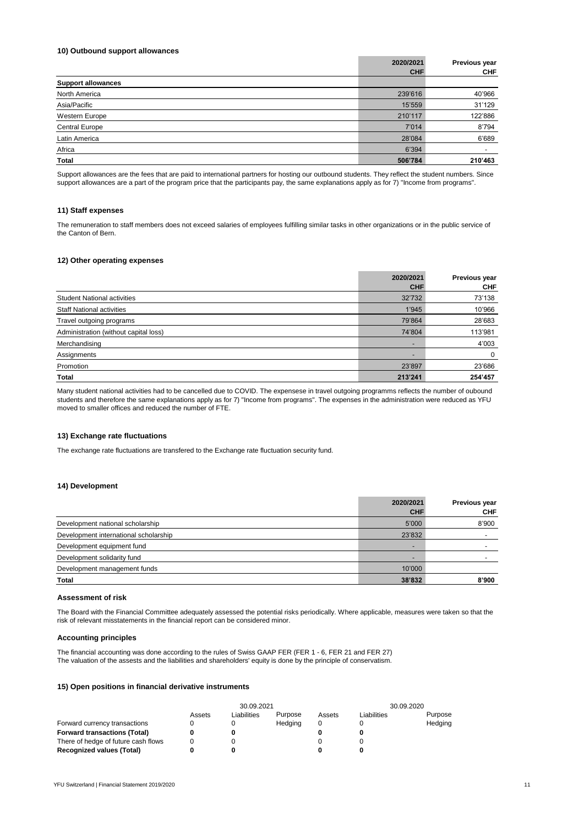#### **10) Outbound support allowances**

|                           | 2020/2021  | <b>Previous year</b> |
|---------------------------|------------|----------------------|
|                           | <b>CHF</b> | <b>CHF</b>           |
| <b>Support allowances</b> |            |                      |
| North America             | 239'616    | 40'966               |
| Asia/Pacific              | 15'559     | 31'129               |
| Western Europe            | 210'117    | 122'886              |
| <b>Central Europe</b>     | 7'014      | 8'794                |
| Latin America             | 28'084     | 6'689                |
| Africa                    | 6'394      |                      |
| <b>Total</b>              | 506'784    | 210'463              |

#### **11) Staff expenses**

#### **12) Other operating expenses**

|                                       | 2020/2021  | <b>Previous year</b> |
|---------------------------------------|------------|----------------------|
|                                       | <b>CHF</b> | <b>CHF</b>           |
| <b>Student National activities</b>    | 32'732     | 73'138               |
| <b>Staff National activities</b>      | 1'945      | 10'966               |
| Travel outgoing programs              | 79'864     | 28'683               |
| Administration (without capital loss) | 74'804     | 113'981              |
| Merchandising                         |            | 4'003                |
| Assignments                           |            | $\Omega$             |
| Promotion                             | 23'897     | 23'686               |
| <b>Total</b>                          | 213'241    | 254'457              |

#### **13) Exchange rate fluctuations**

#### **14) Development**

|                                       | 2020/2021<br><b>CHF</b>  | <b>Previous year</b><br><b>CHF</b> |
|---------------------------------------|--------------------------|------------------------------------|
| Development national scholarship      | 5'000                    | 8'900                              |
| Development international scholarship | 23'832                   |                                    |
| Development equipment fund            | $\overline{\phantom{a}}$ |                                    |
| Development solidarity fund           | -                        |                                    |
| Development management funds          | 10'000                   |                                    |
| <b>Total</b>                          | 38'832                   | 8'900                              |

# **Assessment of risk**

#### **Accounting principles**

The financial accounting was done according to the rules of Swiss GAAP FER (FER 1 - 6, FER 21 and FER 27) The valuation of the assests and the liabilities and shareholders' equity is done by the principle of conservatism.

#### **15) Open positions in financial derivative instruments**

|                                     | 30.09.2021 |             |         |        | 30.09.2020  |         |
|-------------------------------------|------------|-------------|---------|--------|-------------|---------|
|                                     | Assets     | ∟iabilities | Purpose | Assets | Liabilities | Purpose |
| Forward currency transactions       |            |             | Hedging |        |             | Hedging |
| <b>Forward transactions (Total)</b> |            |             |         |        |             |         |
| There of hedge of future cash flows |            |             |         |        |             |         |
| <b>Recognized values (Total)</b>    |            |             |         |        |             |         |

YFU Switzerland | Financial Statement 2019/2020 11 11 12 12 13 13 14 15 16 17 18 17 18 17 18 17 18 17 18 17 19

Many student national activities had to be cancelled due to COVID. The expensese in travel outgoing programms reflects the number of oubound students and therefore the same explanations apply as for 7) "Income from programs". The expenses in the administration were reduced as YFU moved to smaller offices and reduced the number of FTE.

The Board with the Financial Committee adequately assessed the potential risks periodically. Where applicable, measures were taken so that the

risk of relevant misstatements in the financial report can be considered minor.

The remuneration to staff members does not exceed salaries of employees fulfilling similar tasks in other organizations or in the public service of the Canton of Bern.

Support allowances are the fees that are paid to international partners for hosting our outbound students. They reflect the student numbers. Since support allowances are a part of the program price that the participants pay, the same explanations apply as for 7) "Income from programs".

The exchange rate fluctuations are transfered to the Exchange rate fluctuation security fund.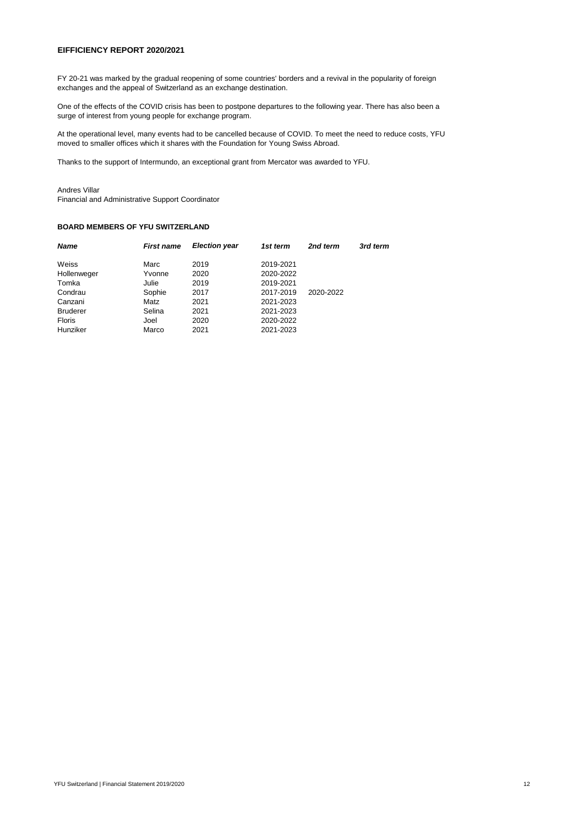#### **EIFFICIENCY REPORT 2020/2021**

FY 20-21 was marked by the gradual reopening of some countries' borders and a revival in the popularity of foreign exchanges and the appeal of Switzerland as an exchange destination.

One of the effects of the COVID crisis has been to postpone departures to the following year. There has also been a surge of interest from young people for exchange program.

At the operational level, many events had to be cancelled because of COVID. To meet the need to reduce costs, YFU moved to smaller offices which it shares with the Foundation for Young Swiss Abroad.

Thanks to the support of Intermundo, an exceptional grant from Mercator was awarded to YFU.

# Andres Villar

Financial and Administrative Support Coordinator

# **BOARD MEMBERS OF YFU SWITZERLAND**

| <b>Name</b>     | <b>First name</b> | <b>Election year</b> | 1st term  | 2nd term  | 3rd term |
|-----------------|-------------------|----------------------|-----------|-----------|----------|
| Weiss           | Marc              | 2019                 | 2019-2021 |           |          |
| Hollenweger     | Yvonne            | 2020                 | 2020-2022 |           |          |
| Tomka           | Julie             | 2019                 | 2019-2021 |           |          |
| Condrau         | Sophie            | 2017                 | 2017-2019 | 2020-2022 |          |
| Canzani         | Matz              | 2021                 | 2021-2023 |           |          |
| <b>Bruderer</b> | Selina            | 2021                 | 2021-2023 |           |          |
| <b>Floris</b>   | Joel              | 2020                 | 2020-2022 |           |          |
| Hunziker        | Marco             | 2021                 | 2021-2023 |           |          |